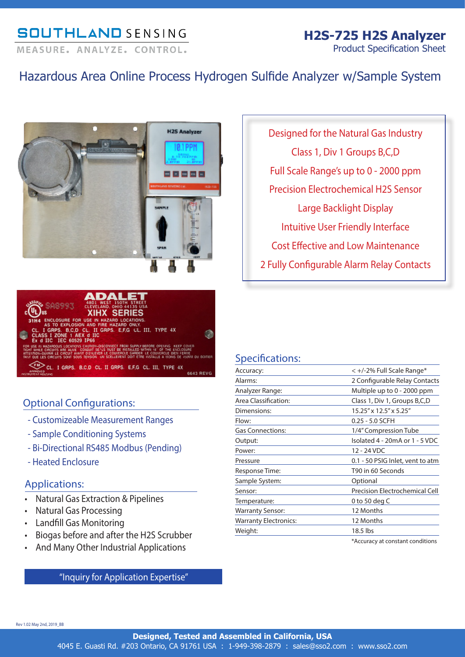## **SOUTHLAND SENSING**

# **H2S-725 H2S Analyzer**

MEASURE, ANALYZE, CONTROL,

Product Specification Sheet

## Hazardous Area Online Process Hydrogen Sulfide Analyzer w/Sample System





### Optional Configurations:

- Customizeable Measurement Ranges
- Sample Conditioning Systems
- Bi-Directional RS485 Modbus (Pending)
- Heated Enclosure

### Applications:

- Natural Gas Extraction & Pipelines
- Natural Gas Processing
- Landfill Gas Monitoring
- Biogas before and after the H2S Scrubber
- And Many Other Industrial Applications

"Inquiry for Application Expertise"

Designed for the Natural Gas Industry Class 1, Div 1 Groups B,C,D Full Scale Range's up to 0 - 2000 ppm Precision Electrochemical H2S Sensor Large Backlight Display Intuitive User Friendly Interface Cost Effective and Low Maintenance 2 Fully Configurable Alarm Relay Contacts

### Specifications:

| Accuracy:                    | < +/-2% Full Scale Range*        |
|------------------------------|----------------------------------|
| Alarms:                      | 2 Configurable Relay Contacts    |
| Analyzer Range:              | Multiple up to 0 - 2000 ppm      |
| Area Classification:         | Class 1, Div 1, Groups B,C,D     |
| Dimensions:                  | 15.25" x 12.5" x 5.25"           |
| Flow:                        | 0.25 - 5.0 SCFH                  |
| <b>Gas Connections:</b>      | 1/4" Compression Tube            |
| Output:                      | Isolated 4 - 20mA or 1 - 5 VDC   |
| Power:                       | 12 - 24 VDC                      |
| Pressure                     | 0.1 - 50 PSIG Inlet, vent to atm |
| Response Time:               | T90 in 60 Seconds                |
| Sample System:               | Optional                         |
| Sensor:                      | Precision Electrochemical Cell   |
| Temperature:                 | 0 to 50 deg C                    |
| <b>Warranty Sensor:</b>      | 12 Months                        |
| <b>Warranty Electronics:</b> | 12 Months                        |
| Weight:                      | 18.5 lbs                         |
|                              | *Accuracy at constant conditions |

Rev 1.02 May 2nd, 2019\_BB